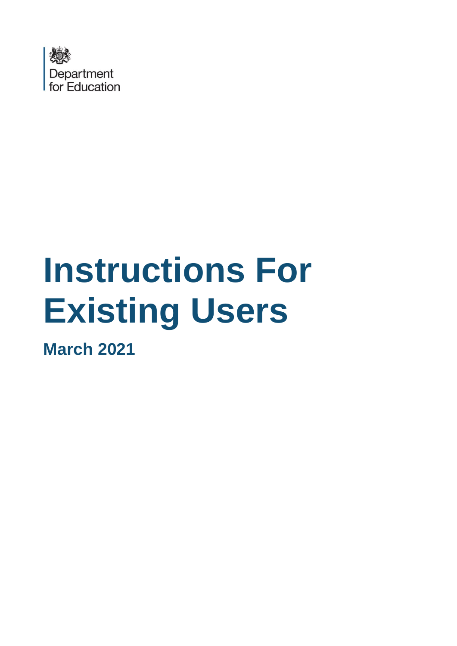

# **Instructions For Existing Users**

**March 2021**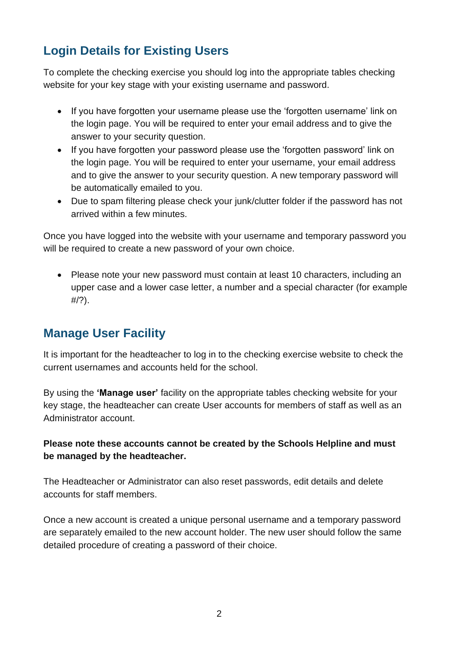## **Login Details for Existing Users**

To complete the checking exercise you should log into the appropriate tables checking website for your key stage with your existing username and password.

- If you have forgotten your username please use the 'forgotten username' link on the login page. You will be required to enter your email address and to give the answer to your security question.
- If you have forgotten your password please use the 'forgotten password' link on the login page. You will be required to enter your username, your email address and to give the answer to your security question. A new temporary password will be automatically emailed to you.
- Due to spam filtering please check your junk/clutter folder if the password has not arrived within a few minutes.

Once you have logged into the website with your username and temporary password you will be required to create a new password of your own choice.

• Please note your new password must contain at least 10 characters, including an upper case and a lower case letter, a number and a special character (for example #/?).

### **Manage User Facility**

It is important for the headteacher to log in to the checking exercise website to check the current usernames and accounts held for the school.

By using the **'Manage user'** facility on the appropriate tables checking website for your key stage, the headteacher can create User accounts for members of staff as well as an Administrator account.

#### **Please note these accounts cannot be created by the Schools Helpline and must be managed by the headteacher.**

The Headteacher or Administrator can also reset passwords, edit details and delete accounts for staff members.

Once a new account is created a unique personal username and a temporary password are separately emailed to the new account holder. The new user should follow the same detailed procedure of creating a password of their choice.